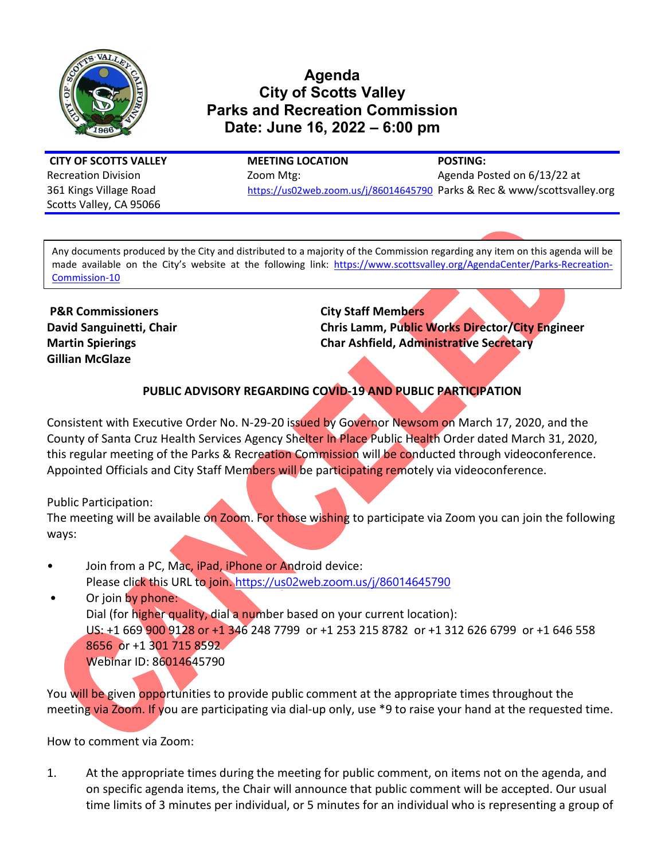

# **Agenda City of Scotts Valley Parks and Recreation Commission Date: June 16, 2022 – 6:00 pm**

Scotts Valley, CA 95066

**CITY OF SCOTTS VALLEY MEETING LOCATION POSTING:** Recreation Division **Exercise 2000 Mtg:** Agenda Posted on 6/13/22 at 361 Kings Village Road <https://us02web.zoom.us/j/86014645790> Parks & Rec & www/scottsvalley.org

Any documents produced by the City and distributed to a majority of the Commission regarding any item on this agenda will be made available on the City's website at the following link: [https://www.scottsvalley.org/AgendaCenter/Parks-Recreation-](https://www.scottsvalley.org/AgendaCenter/Parks-Recreation-Commission-10)[Commission-10](https://www.scottsvalley.org/AgendaCenter/Parks-Recreation-Commission-10) 

**P&R Commissioners City Staff Members Gillian McGlaze**

**David Sanguinetti, Chair Chris Lamm, Public Works Director/City Engineer Martin Spierings Char Ashfield, Administrative Secretary**

### **PUBLIC ADVISORY REGARDING COVID-19 AND PUBLIC PARTICIPATION**

Consistent with Executive Order No. N-29-20 issued by Governor Newsom on March 17, 2020, and the County of Santa Cruz Health Services Agency Shelter In Place Public Health Order dated March 31, 2020, this regular meeting of the Parks & Recreation Commission will be conducted through videoconference. Appointed Officials and City Staff Members will be participating remotely via videoconference.

Public Participation:

The meeting will be available on Zoom. For those wishing to participate via Zoom you can join the following ways:

- Join from a PC, Mac, iPad, iPhone or Android device: Please click this URL to join. <https://us02web.zoom.us/j/86014645790>
- Or join by phone: Dial (for higher quality, dial a number based on your current location): US: +1 669 900 9128 or +1 346 248 7799 or +1 253 215 8782 or +1 312 626 6799 or +1 646 558 8656 or +1 301 715 8592 Webinar ID: 86014645790

You will be given opportunities to provide public comment at the appropriate times throughout the meeting via Zoom. If you are participating via dial-up only, use \*9 to raise your hand at the requested time.

How to comment via Zoom:

1. At the appropriate times during the meeting for public comment, on items not on the agenda, and on specific agenda items, the Chair will announce that public comment will be accepted. Our usual time limits of 3 minutes per individual, or 5 minutes for an individual who is representing a group of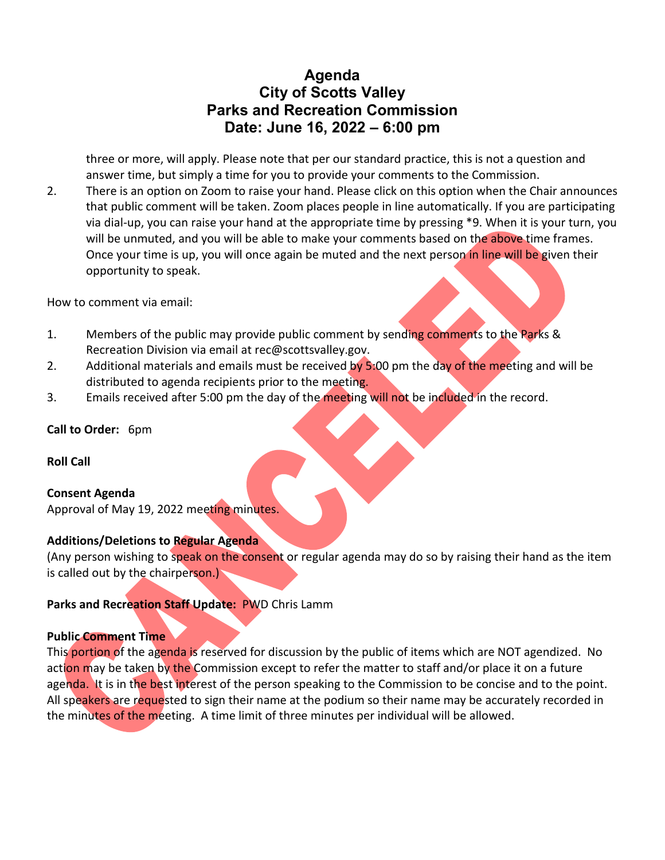# **Agenda City of Scotts Valley Parks and Recreation Commission Date: June 16, 2022 – 6:00 pm**

three or more, will apply. Please note that per our standard practice, this is not a question and answer time, but simply a time for you to provide your comments to the Commission.

2. There is an option on Zoom to raise your hand. Please click on this option when the Chair announces that public comment will be taken. Zoom places people in line automatically. If you are participating via dial-up, you can raise your hand at the appropriate time by pressing \*9. When it is your turn, you will be unmuted, and you will be able to make your comments based on the above time frames. Once your time is up, you will once again be muted and the next person in line will be given their opportunity to speak.

How to comment via email:

- 1. Members of the public may provide public comment by sending comments to the Parks & Recreation Division via email at rec@scottsvalley.gov.
- 2. Additional materials and emails must be received by 5:00 pm the day of the meeting and will be distributed to agenda recipients prior to the meeting.
- 3. Emails received after 5:00 pm the day of the meeting will not be included in the record.

#### **Call to Order:** 6pm

**Roll Call**

#### **Consent Agenda**

Approval of May 19, 2022 meeting minutes.

#### **Additions/Deletions to Regular Agenda**

(Any person wishing to speak on the consent or regular agenda may do so by raising their hand as the item is called out by the chairperson.)

#### **Parks and Recreation Staff Update:** PWD Chris Lamm

#### **Public Comment Time**

This portion of the agenda is reserved for discussion by the public of items which are NOT agendized. No action may be taken by the Commission except to refer the matter to staff and/or place it on a future agenda. It is in the best interest of the person speaking to the Commission to be concise and to the point. All speakers are requested to sign their name at the podium so their name may be accurately recorded in the minutes of the meeting. A time limit of three minutes per individual will be allowed.